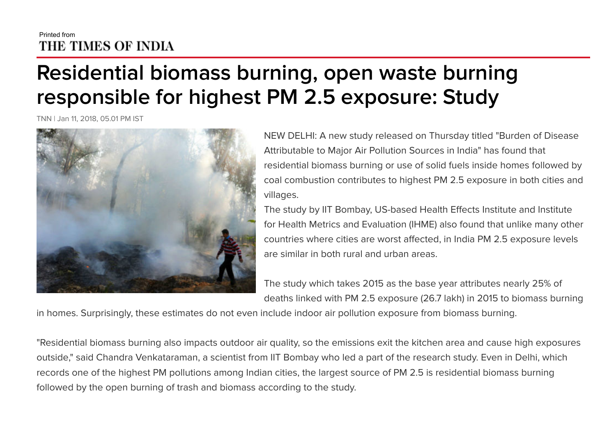## Printed from THE TIMES OF INDIA

## Residential biomass burning, open waste burning responsible for highest PM 2.5 exposure: Study

TNN | Jan 11, 2018, 05.01 PM IST



NEW DELHI: A new study released on Thursday titled "Burden of Disease Attributable to Major Air Pollution Sources in India" has found that residential biomass burning or use of solid fuels inside homes followed by coal combustion contributes to highest PM 2.5 exposure in both cities and villages.

The study by IIT Bombay, US-based Health Effects Institute and Institute for Health Metrics and Evaluation (IHME) also found that unlike many other countries where cities are worst affected, in India PM 2.5 exposure levels are similar in both rural and urban areas.

The study which takes 2015 as the base year attributes nearly 25% of deaths linked with PM 2.5 exposure (26.7 lakh) in 2015 to biomass burning

in homes. Surprisingly, these estimates do not even include indoor air pollution exposure from biomass burning.

"Residential biomass burning also impacts outdoor air quality, so the emissions exit the kitchen area and cause high exposures outside," said Chandra Venkataraman, a scientist from IIT Bombay who led a part of the research study. Even in Delhi, which records one of the highest PM pollutions among Indian cities, the largest source of PM 2.5 is residential biomass burning followed by the open burning of trash and biomass according to the study.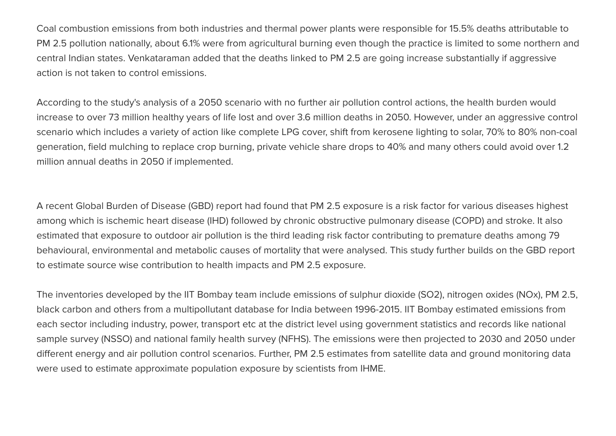Coal combustion emissions from both industries and thermal power plants were responsible for 15.5% deaths attributable to PM 2.5 pollution nationally, about 6.1% were from agricultural burning even though the practice is limited to some northern and central Indian states. Venkataraman added that the deaths linked to PM 2.5 are going increase substantially if aggressive action is not taken to control emissions.

According to the study's analysis of a 2050 scenario with no further air pollution control actions, the health burden would increase to over 73 million healthy years of life lost and over 3.6 million deaths in 2050. However, under an aggressive control scenario which includes a variety of action like complete LPG cover, shift from kerosene lighting to solar, 70% to 80% non-coal generation, field mulching to replace crop burning, private vehicle share drops to 40% and many others could avoid over 1.2 million annual deaths in 2050 if implemented.

A recent Global Burden of Disease (GBD) report had found that PM 2.5 exposure is a risk factor for various diseases highest among which is ischemic heart disease (IHD) followed by chronic obstructive pulmonary disease (COPD) and stroke. It also estimated that exposure to outdoor air pollution is the third leading risk factor contributing to premature deaths among 79 behavioural, environmental and metabolic causes of mortality that were analysed. This study further builds on the GBD report to estimate source wise contribution to health impacts and PM 2.5 exposure.

The inventories developed by the IIT Bombay team include emissions of sulphur dioxide (SO2), nitrogen oxides (NOx), PM 2.5, black carbon and others from a multipollutant database for India between 1996-2015. IIT Bombay estimated emissions from each sector including industry, power, transport etc at the district level using government statistics and records like national sample survey (NSSO) and national family health survey (NFHS). The emissions were then projected to 2030 and 2050 under different energy and air pollution control scenarios. Further, PM 2.5 estimates from satellite data and ground monitoring data were used to estimate approximate population exposure by scientists from IHME.